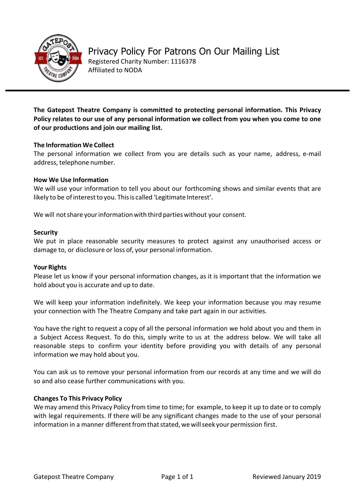

**The Gatepost Theatre Company is committed to protecting personal information. This Privacy Policy relates to our use of any personal information we collect from you when you come to one of our productions and join our mailing list.** 

# **The Information We Collect**

The personal information we collect from you are details such as your name, address, e-mail address, telephone number.

# **How We Use Information**

We will use your information to tell you about our forthcoming shows and similar events that are likely to be of interest to you. This is called 'Legitimate Interest'.

We will not share your information with third parties without your consent.

# **Security**

We put in place reasonable security measures to protect against any unauthorised access or damage to, or disclosure or loss of, your personal information.

# **Your Rights**

Please let us know if your personal information changes, as it is important that the information we hold about you is accurate and up to date.

We will keep your information indefinitely. We keep your information because you may resume your connection with The Theatre Company and take part again in our activities.

You have the right to request a copy of all the personal information we hold about you and them in a Subject Access Request. To do this, simply write to us at the address below. We will take all reasonable steps to confirm your identity before providing you with details of any personal information we may hold about you.

You can ask us to remove your personal information from our records at any time and we will do so and also cease further communications with you.

# **Changes To This Privacy Policy**

Wemay amend this Privacy Policy from time to time; for example, to keep it up to date or to comply with legal requirements. If there will be any significant changes made to the use of your personal information in a manner different from that stated, we will seek your permission first.